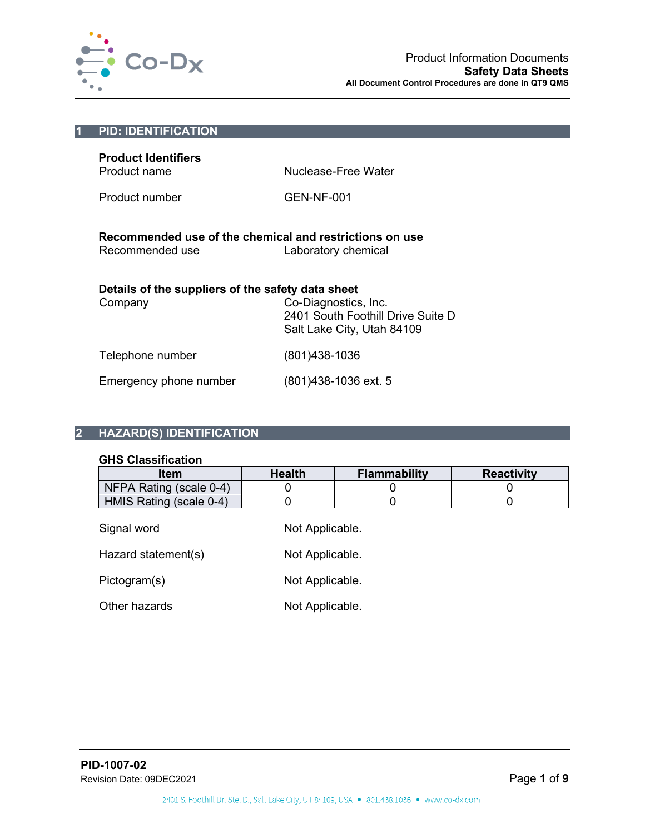

| $\overline{1}$                                                                                                     | <b>PID: IDENTIFICATION</b>                                                 |                                   |
|--------------------------------------------------------------------------------------------------------------------|----------------------------------------------------------------------------|-----------------------------------|
|                                                                                                                    | <b>Product Identifiers</b><br>Product name<br>Product number               | Nuclease-Free Water<br>GEN-NF-001 |
|                                                                                                                    | Recommended use of the chemical and restrictions on use<br>Recommended use | Laboratory chemical               |
| Details of the suppliers of the safety data sheet<br>Co-Diagnostics, Inc.<br>Company<br>Salt Lake City, Utah 84109 |                                                                            | 2401 South Foothill Drive Suite D |
|                                                                                                                    | Telephone number                                                           | (801)438-1036                     |
|                                                                                                                    | Emergency phone number                                                     | (801) 438-1036 ext. 5             |

## **2 HAZARD(S) IDENTIFICATION**

## **GHS Classification**

| ווטאוווטטווויט טווט     |                 |                     |                   |
|-------------------------|-----------------|---------------------|-------------------|
| <b>Item</b>             | <b>Health</b>   | <b>Flammability</b> | <b>Reactivity</b> |
| NFPA Rating (scale 0-4) |                 |                     |                   |
| HMIS Rating (scale 0-4) |                 |                     |                   |
| Signal word             | Not Applicable. |                     |                   |
| Hazard statement(s)     | Not Applicable. |                     |                   |

Pictogram(s) Not Applicable.

Other hazards Not Applicable.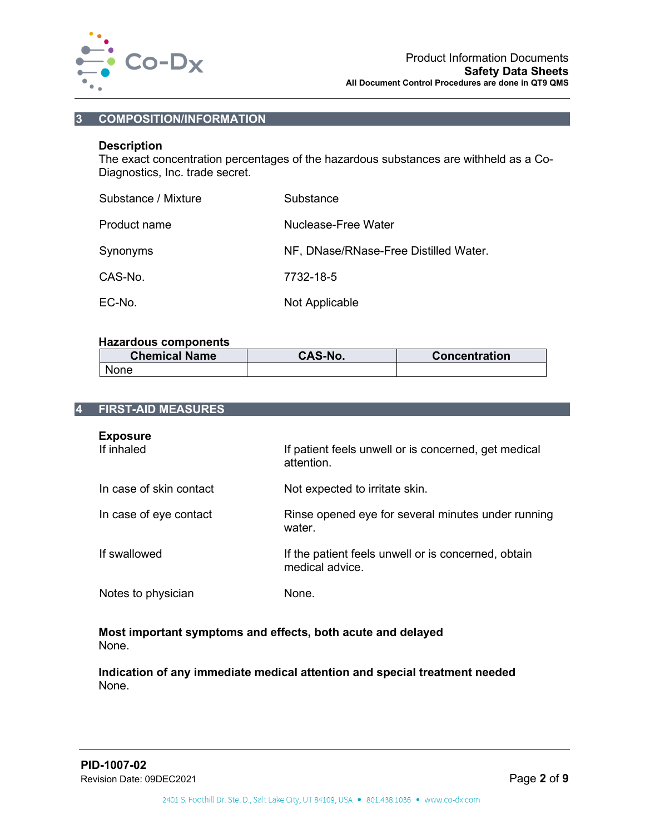

## **3 COMPOSITION/INFORMATION**

## **Description**

The exact concentration percentages of the hazardous substances are withheld as a Co-Diagnostics, Inc. trade secret.

| Substance / Mixture | Substance                             |
|---------------------|---------------------------------------|
| Product name        | Nuclease-Free Water                   |
| Synonyms            | NF, DNase/RNase-Free Distilled Water. |
| CAS-No.             | 7732-18-5                             |
| EC-No.              | Not Applicable                        |

## **Hazardous components**

| <b>Chemical Name</b> | <b>CAS-No.</b> | <b>Concentration</b> |
|----------------------|----------------|----------------------|
| <b>None</b>          |                |                      |

| 4 | <b>FIRST-AID MEASURES</b>     |                                                                        |
|---|-------------------------------|------------------------------------------------------------------------|
|   | <b>Exposure</b><br>If inhaled | If patient feels unwell or is concerned, get medical<br>attention      |
|   | In case of skin contact       | Not expected to irritate skin.                                         |
|   | In case of eye contact        | Rinse opened eye for several minutes under running<br>water.           |
|   | If swallowed                  | If the patient feels unwell or is concerned, obtain<br>medical advice. |
|   | Notes to physician            | None                                                                   |
|   |                               |                                                                        |

**Most important symptoms and effects, both acute and delayed** None.

**Indication of any immediate medical attention and special treatment needed** None.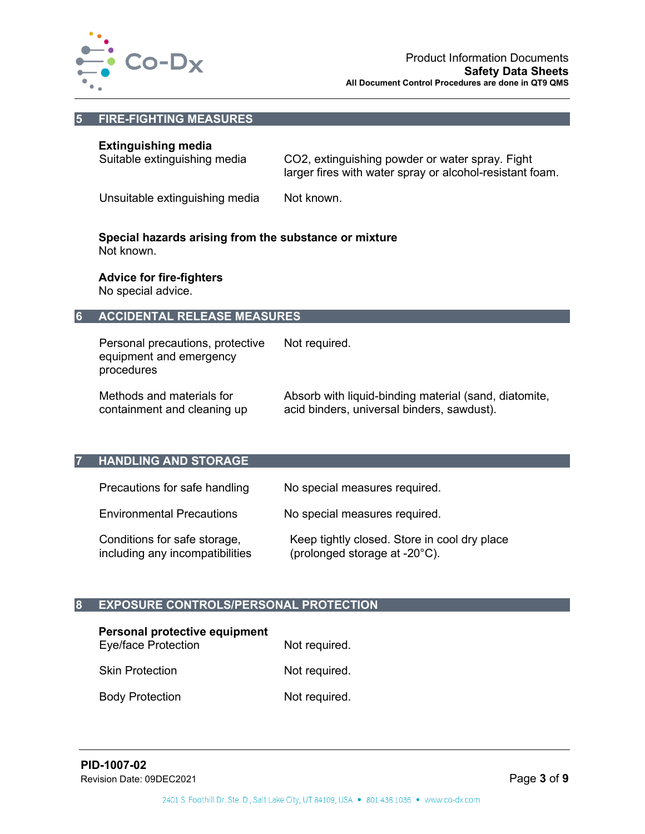

## **5 FIRE-FIGHTING MEASURES**

## **Extinguishing media**

| Suitable extinguishing media | CO2, extinguishing powder or water spray. Fight          |
|------------------------------|----------------------------------------------------------|
|                              | larger fires with water spray or alcohol-resistant foam. |

Unsuitable extinguishing media Not known.

#### **Special hazards arising from the substance or mixture** Not known.

**Advice for fire-fighters** No special advice.

## **6 ACCIDENTAL RELEASE MEASURES**

Personal precautions, protective equipment and emergency procedures Not required.

Methods and materials for containment and cleaning up Absorb with liquid-binding material (sand, diatomite, acid binders, universal binders, sawdust).

## **7 HANDLING AND STORAGE**

| Precautions for safe handling                                   | No special measures required.                                                 |
|-----------------------------------------------------------------|-------------------------------------------------------------------------------|
| <b>Environmental Precautions</b>                                | No special measures required.                                                 |
| Conditions for safe storage,<br>including any incompatibilities | Keep tightly closed. Store in cool dry place<br>(prolonged storage at -20°C). |

## **8 EXPOSURE CONTROLS/PERSONAL PROTECTION**

| Personal protective equipment<br><b>Eye/face Protection</b> | Not required. |
|-------------------------------------------------------------|---------------|
| <b>Skin Protection</b>                                      | Not required. |
| <b>Body Protection</b>                                      | Not required. |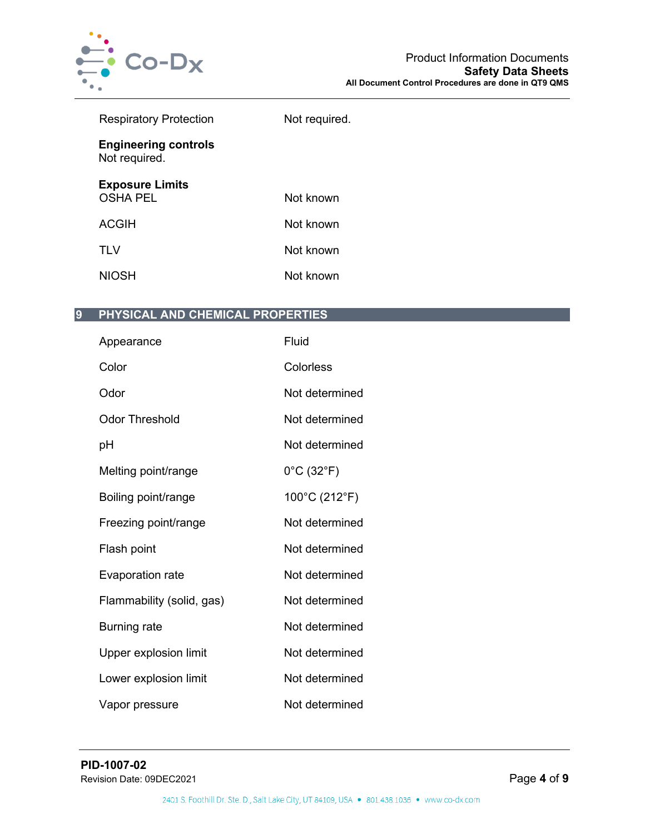

| <b>Respiratory Protection</b>                | Not required. |
|----------------------------------------------|---------------|
| <b>Engineering controls</b><br>Not required. |               |
| <b>Exposure Limits</b><br><b>OSHA PEL</b>    | Not known     |
| <b>ACGIH</b>                                 | Not known     |
| <b>TLV</b>                                   | Not known     |
| <b>NIOSH</b>                                 | Not known     |

# **9 PHYSICAL AND CHEMICAL PROPERTIES**

| Appearance                | Fluid                           |
|---------------------------|---------------------------------|
| Color                     | Colorless                       |
| Odor                      | Not determined                  |
| <b>Odor Threshold</b>     | Not determined                  |
| рH                        | Not determined                  |
| Melting point/range       | $0^{\circ}$ C (32 $^{\circ}$ F) |
| Boiling point/range       | 100°C (212°F)                   |
| Freezing point/range      | Not determined                  |
| Flash point               | Not determined                  |
| Evaporation rate          | Not determined                  |
| Flammability (solid, gas) | Not determined                  |
| <b>Burning rate</b>       | Not determined                  |
| Upper explosion limit     | Not determined                  |
| Lower explosion limit     | Not determined                  |
| Vapor pressure            | Not determined                  |
|                           |                                 |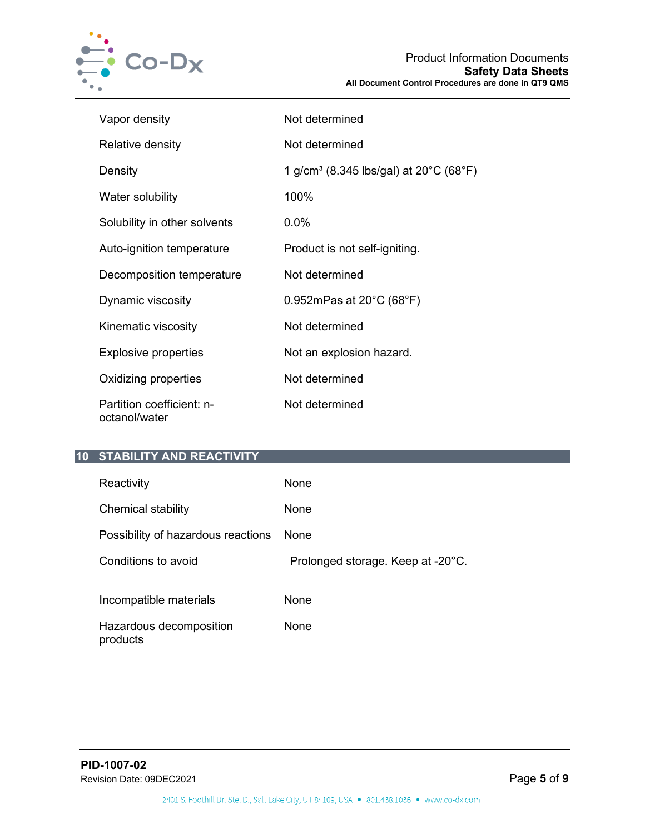

| Vapor density                              | Not determined                                                               |
|--------------------------------------------|------------------------------------------------------------------------------|
| Relative density                           | Not determined                                                               |
| Density                                    | 1 g/cm <sup>3</sup> (8.345 lbs/gal) at 20 <sup>°</sup> C (68 <sup>°</sup> F) |
| Water solubility                           | 100%                                                                         |
| Solubility in other solvents               | $0.0\%$                                                                      |
| Auto-ignition temperature                  | Product is not self-igniting.                                                |
| Decomposition temperature                  | Not determined                                                               |
| Dynamic viscosity                          | 0.952mPas at $20^{\circ}$ C (68 $^{\circ}$ F)                                |
| Kinematic viscosity                        | Not determined                                                               |
| <b>Explosive properties</b>                | Not an explosion hazard.                                                     |
| Oxidizing properties                       | Not determined                                                               |
| Partition coefficient: n-<br>octanol/water | Not determined                                                               |

# **10 STABILITY AND REACTIVITY**

| Reactivity                          | None                              |
|-------------------------------------|-----------------------------------|
| Chemical stability                  | None                              |
| Possibility of hazardous reactions  | <b>None</b>                       |
| Conditions to avoid                 | Prolonged storage. Keep at -20°C. |
| Incompatible materials              | None                              |
| Hazardous decomposition<br>products | None                              |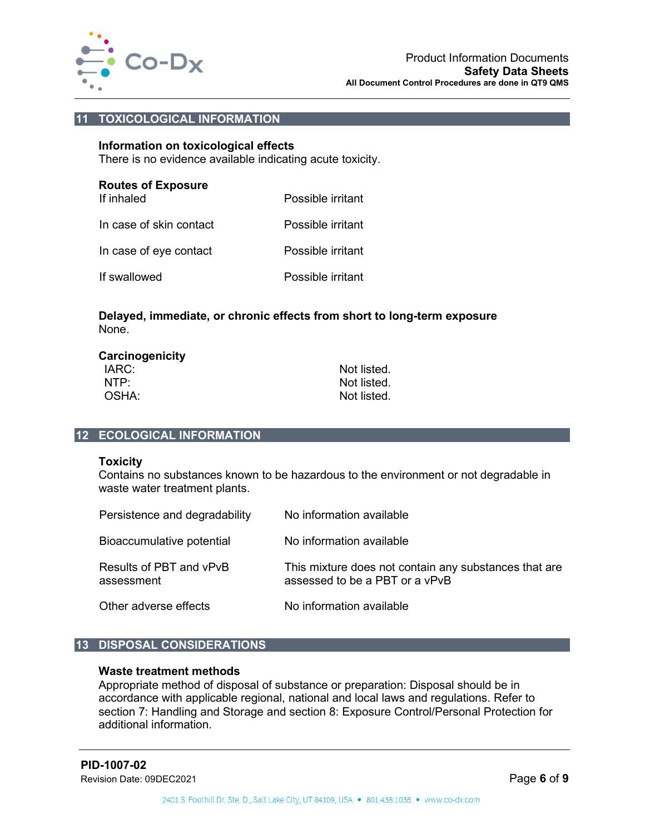

# **11 TOXICOLOGICAL INFORMATION**

#### **Information on toxicological effects**

There is no evidence available indicating acute toxicity.

| <b>Routes of Exposure</b><br>If inhaled | Possible irritant |
|-----------------------------------------|-------------------|
| In case of skin contact                 | Possible irritant |
| In case of eye contact                  | Possible irritant |
| If swallowed                            | Possible irritant |

## **Delayed, immediate, or chronic effects from short to long-term exposure** None.

| Carcinogenicity |             |
|-----------------|-------------|
| IARC:           | Not listed. |
| NTP:            | Not listed. |
| OSHA:           | Not listed. |

## **12 ECOLOGICAL INFORMATION**

#### **Toxicity**

Contains no substances known to be hazardous to the environment or not degradable in waste water treatment plants.

| Persistence and degradability         | No information available                                                                |
|---------------------------------------|-----------------------------------------------------------------------------------------|
| Bioaccumulative potential             | No information available                                                                |
| Results of PBT and vPvB<br>assessment | This mixture does not contain any substances that are<br>assessed to be a PBT or a vPvB |
| Other adverse effects                 | No information available                                                                |

## **13 DISPOSAL CONSIDERATIONS**

### **Waste treatment methods**

Appropriate method of disposal of substance or preparation: Disposal should be in accordance with applicable regional, national and local laws and regulations. Refer to section 7: Handling and Storage and section 8: Exposure Control/Personal Protection for additional information.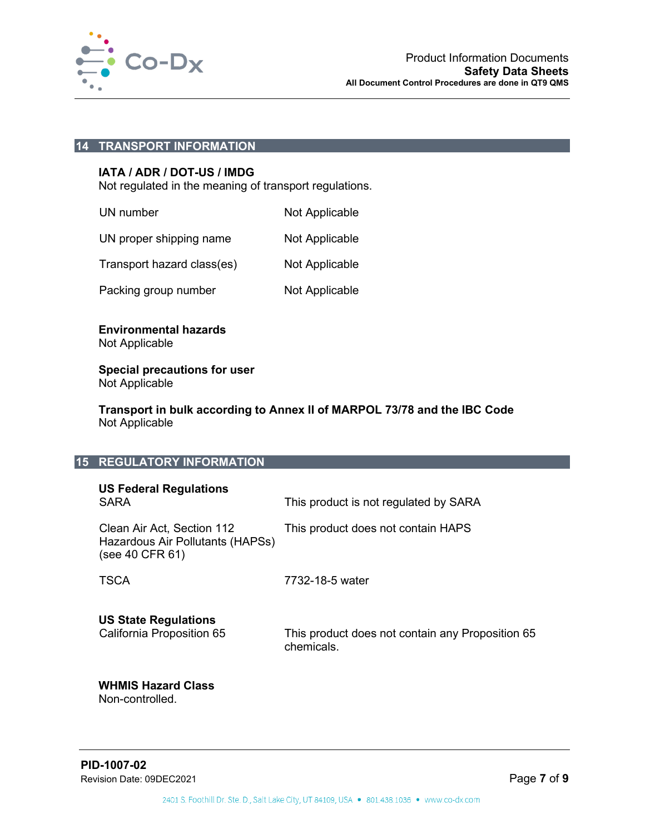

### **14 TRANSPORT INFORMATION**

### **IATA / ADR / DOT-US / IMDG**

Not regulated in the meaning of transport regulations.

| UN number                  | Not Applicable |
|----------------------------|----------------|
| UN proper shipping name    | Not Applicable |
| Transport hazard class(es) | Not Applicable |
| Packing group number       | Not Applicable |

### **Environmental hazards** Not Applicable

#### **Special precautions for user** Not Applicable

**Transport in bulk according to Annex II of MARPOL 73/78 and the IBC Code** Not Applicable

## **15 REGULATORY INFORMATION**

| <b>US Federal Regulations</b><br><b>SARA</b>                                      | This product is not regulated by SARA                          |
|-----------------------------------------------------------------------------------|----------------------------------------------------------------|
| Clean Air Act, Section 112<br>Hazardous Air Pollutants (HAPSs)<br>(see 40 CFR 61) | This product does not contain HAPS                             |
| <b>TSCA</b>                                                                       | 7732-18-5 water                                                |
| <b>US State Regulations</b><br>California Proposition 65                          | This product does not contain any Proposition 65<br>chemicals. |

## **WHMIS Hazard Class** Non-controlled.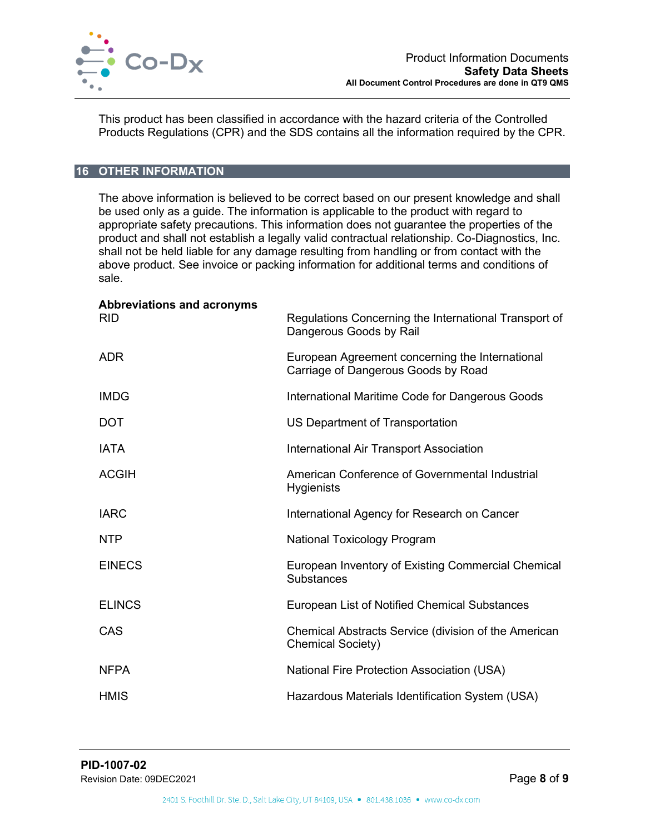

This product has been classified in accordance with the hazard criteria of the Controlled Products Regulations (CPR) and the SDS contains all the information required by the CPR.

# **16 OTHER INFORMATION**

The above information is believed to be correct based on our present knowledge and shall be used only as a guide. The information is applicable to the product with regard to appropriate safety precautions. This information does not guarantee the properties of the product and shall not establish a legally valid contractual relationship. Co-Diagnostics, Inc. shall not be held liable for any damage resulting from handling or from contact with the above product. See invoice or packing information for additional terms and conditions of sale.

| Abbreviations and acronyms<br><b>RID</b> | Regulations Concerning the International Transport of<br>Dangerous Goods by Rail       |
|------------------------------------------|----------------------------------------------------------------------------------------|
| <b>ADR</b>                               | European Agreement concerning the International<br>Carriage of Dangerous Goods by Road |
| <b>IMDG</b>                              | International Maritime Code for Dangerous Goods                                        |
| <b>DOT</b>                               | US Department of Transportation                                                        |
| <b>IATA</b>                              | International Air Transport Association                                                |
| <b>ACGIH</b>                             | American Conference of Governmental Industrial<br><b>Hygienists</b>                    |
| <b>IARC</b>                              | International Agency for Research on Cancer                                            |
| <b>NTP</b>                               | <b>National Toxicology Program</b>                                                     |
| <b>EINECS</b>                            | European Inventory of Existing Commercial Chemical<br><b>Substances</b>                |
| <b>ELINCS</b>                            | European List of Notified Chemical Substances                                          |
| CAS                                      | Chemical Abstracts Service (division of the American<br><b>Chemical Society)</b>       |
| <b>NFPA</b>                              | <b>National Fire Protection Association (USA)</b>                                      |
| <b>HMIS</b>                              | Hazardous Materials Identification System (USA)                                        |
|                                          |                                                                                        |